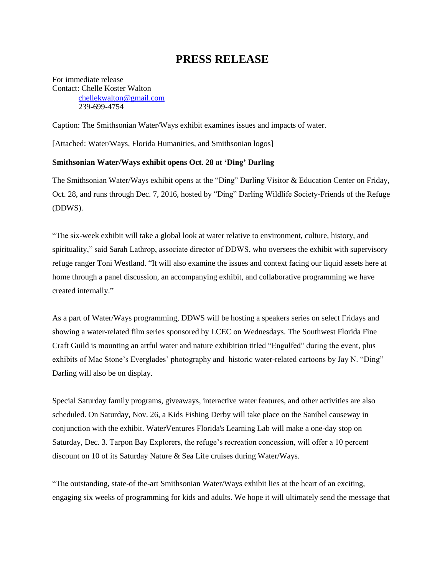## **PRESS RELEASE**

For immediate release Contact: Chelle Koster Walton [chellekwalton@gmail.com](mailto:chellekwalton@gmail.com) 239-699-4754

Caption: The Smithsonian Water/Ways exhibit examines issues and impacts of water.

[Attached: Water/Ways, Florida Humanities, and Smithsonian logos]

## **Smithsonian Water/Ways exhibit opens Oct. 28 at 'Ding' Darling**

The Smithsonian Water/Ways exhibit opens at the "Ding" Darling Visitor & Education Center on Friday, Oct. 28, and runs through Dec. 7, 2016, hosted by "Ding" Darling Wildlife Society-Friends of the Refuge (DDWS).

"The six-week exhibit will take a global look at water relative to environment, culture, history, and spirituality," said Sarah Lathrop, associate director of DDWS, who oversees the exhibit with supervisory refuge ranger Toni Westland. "It will also examine the issues and context facing our liquid assets here at home through a panel discussion, an accompanying exhibit, and collaborative programming we have created internally."

As a part of Water/Ways programming, DDWS will be hosting a speakers series on select Fridays and showing a water-related film series sponsored by LCEC on Wednesdays. The Southwest Florida Fine Craft Guild is mounting an artful water and nature exhibition titled "Engulfed" during the event, plus exhibits of Mac Stone's Everglades' photography and historic water-related cartoons by Jay N. "Ding" Darling will also be on display.

Special Saturday family programs, giveaways, interactive water features, and other activities are also scheduled. On Saturday, Nov. 26, a Kids Fishing Derby will take place on the Sanibel causeway in conjunction with the exhibit. WaterVentures Florida's Learning Lab will make a one-day stop on Saturday, Dec. 3. Tarpon Bay Explorers, the refuge's recreation concession, will offer a 10 percent discount on 10 of its Saturday Nature & Sea Life cruises during Water/Ways.

"The outstanding, state-of the-art Smithsonian Water/Ways exhibit lies at the heart of an exciting, engaging six weeks of programming for kids and adults. We hope it will ultimately send the message that